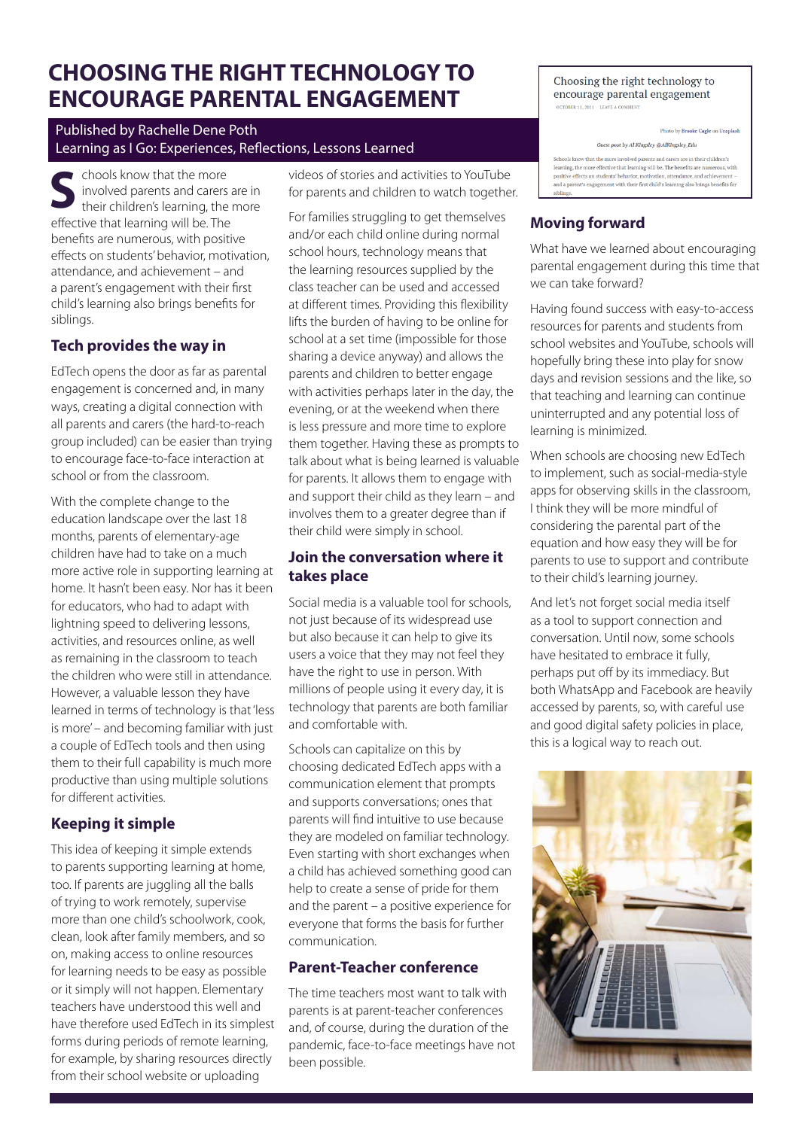# **CHOOSING THE RIGHT TECHNOLOGY TO ENCOURAGE PARENTAL ENGAGEMENT**

### Published by Rachelle Dene Poth Learning as I Go: Experiences, Reflections, Lessons Learned

chools know that the more involved parents and carers are in their children's learning, the more **S** effective that learning will be. The benefits are numerous, with positive effects on students' behavior, motivation, attendance, and achievement – and a parent's engagement with their first child's learning also brings benefits for siblings.

# **Tech provides the way in**

EdTech opens the door as far as parental engagement is concerned and, in many ways, creating a digital connection with all parents and carers (the hard-to-reach group included) can be easier than trying to encourage face-to-face interaction at school or from the classroom.

With the complete change to the education landscape over the last 18 months, parents of elementary-age children have had to take on a much more active role in supporting learning at home. It hasn't been easy. Nor has it been for educators, who had to adapt with lightning speed to delivering lessons, activities, and resources online, as well as remaining in the classroom to teach the children who were still in attendance. However, a valuable lesson they have learned in terms of technology is that 'less is more' – and becoming familiar with just a couple of EdTech tools and then using them to their full capability is much more productive than using multiple solutions for different activities.

# **Keeping it simple**

This idea of keeping it simple extends to parents supporting learning at home, too. If parents are juggling all the balls of trying to work remotely, supervise more than one child's schoolwork, cook, clean, look after family members, and so on, making access to online resources for learning needs to be easy as possible or it simply will not happen. Elementary teachers have understood this well and have therefore used EdTech in its simplest forms during periods of remote learning, for example, by sharing resources directly from their school website or uploading

videos of stories and activities to YouTube for parents and children to watch together.

For families struggling to get themselves and/or each child online during normal school hours, technology means that the learning resources supplied by the class teacher can be used and accessed at different times. Providing this flexibility lifts the burden of having to be online for school at a set time (impossible for those sharing a device anyway) and allows the parents and children to better engage with activities perhaps later in the day, the evening, or at the weekend when there is less pressure and more time to explore them together. Having these as prompts to talk about what is being learned is valuable for parents. It allows them to engage with and support their child as they learn – and involves them to a greater degree than if their child were simply in school.

## **Join the conversation where it takes place**

Social media is a valuable tool for schools, not just because of its widespread use but also because it can help to give its users a voice that they may not feel they have the right to use in person. With millions of people using it every day, it is technology that parents are both familiar and comfortable with.

Schools can capitalize on this by choosing dedicated EdTech apps with a communication element that prompts and supports conversations; ones that parents will find intuitive to use because they are modeled on familiar technology. Even starting with short exchanges when a child has achieved something good can help to create a sense of pride for them and the parent – a positive experience for everyone that forms the basis for further communication.

# **Parent-Teacher conference**

The time teachers most want to talk with parents is at parent-teacher conferences and, of course, during the duration of the pandemic, face-to-face meetings have not been possible.

Choosing the right technology to encourage parental engagement OCTORER 11, 2021 / LEAVE A CO

Photo by Brooke Cagle on Unsplash

**Guest post by Al Kingsley @AlKingsley Edu** 

Schools know that the more involved parents and carers are in their children's learning, the more effective that learning will be. The benefits are nu positive effects on students' behavior, motivation, attendance, and achievement -<br>and a parent's engagement with their first child's learning also brings benefits for

# **Moving forward**

What have we learned about encouraging parental engagement during this time that we can take forward?

Having found success with easy-to-access resources for parents and students from school websites and YouTube, schools will hopefully bring these into play for snow days and revision sessions and the like, so that teaching and learning can continue uninterrupted and any potential loss of learning is minimized.

When schools are choosing new EdTech to implement, such as social-media-style apps for observing skills in the classroom, I think they will be more mindful of considering the parental part of the equation and how easy they will be for parents to use to support and contribute to their child's learning journey.

And let's not forget social media itself as a tool to support connection and conversation. Until now, some schools have hesitated to embrace it fully, perhaps put off by its immediacy. But both WhatsApp and Facebook are heavily accessed by parents, so, with careful use and good digital safety policies in place, this is a logical way to reach out.